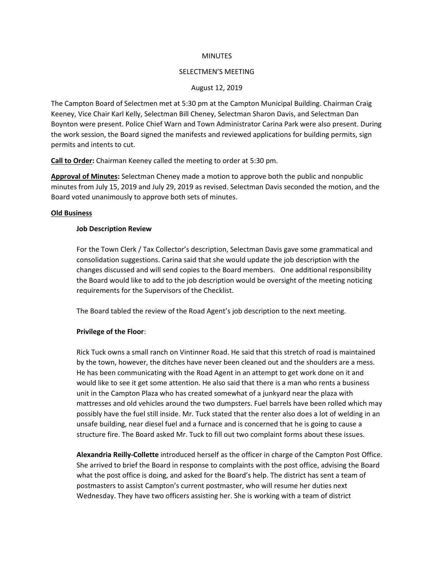### **MINUTES**

#### SELECTMEN'S MEETING

#### August 12, 2019

The Campton Board of Selectmen met at 5:30 pm at the Campton Municipal Building. Chairman Craig Keeney, Vice Chair Karl Kelly, Selectman Bill Cheney, Selectman Sharon Davis, and Selectman Dan Boynton were present. Police Chief Warn and Town Administrator Carina Park were also present. During the work session, the Board signed the manifests and reviewed applications for building permits, sign permits and intents to cut.

**Call to Order:** Chairman Keeney called the meeting to order at 5:30 pm.

**Approval of Minutes:** Selectman Cheney made a motion to approve both the public and nonpublic minutes from July 15, 2019 and July 29, 2019 as revised. Selectman Davis seconded the motion, and the Board voted unanimously to approve both sets of minutes.

#### **Old Business**

#### **Job Description Review**

For the Town Clerk / Tax Collector's description, Selectman Davis gave some grammatical and consolidation suggestions. Carina said that she would update the job description with the changes discussed and will send copies to the Board members. One additional responsibility the Board would like to add to the job description would be oversight of the meeting noticing requirements for the Supervisors of the Checklist.

The Board tabled the review of the Road Agent's job description to the next meeting.

### **Privilege of the Floor**:

Rick Tuck owns a small ranch on Vintinner Road. He said that this stretch of road is maintained by the town, however, the ditches have never been cleaned out and the shoulders are a mess. He has been communicating with the Road Agent in an attempt to get work done on it and would like to see it get some attention. He also said that there is a man who rents a business unit in the Campton Plaza who has created somewhat of a junkyard near the plaza with mattresses and old vehicles around the two dumpsters. Fuel barrels have been rolled which may possibly have the fuel still inside. Mr. Tuck stated that the renter also does a lot of welding in an unsafe building, near diesel fuel and a furnace and is concerned that he is going to cause a structure fire. The Board asked Mr. Tuck to fill out two complaint forms about these issues.

**Alexandria Reilly-Collette** introduced herself as the officer in charge of the Campton Post Office. She arrived to brief the Board in response to complaints with the post office, advising the Board what the post office is doing, and asked for the Board's help. The district has sent a team of postmasters to assist Campton's current postmaster, who will resume her duties next Wednesday. They have two officers assisting her. She is working with a team of district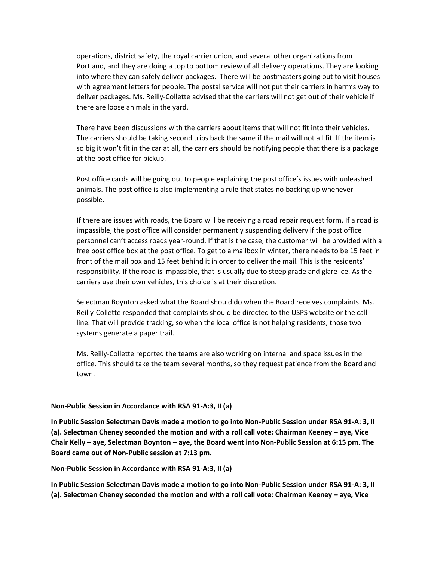operations, district safety, the royal carrier union, and several other organizations from Portland, and they are doing a top to bottom review of all delivery operations. They are looking into where they can safely deliver packages. There will be postmasters going out to visit houses with agreement letters for people. The postal service will not put their carriers in harm's way to deliver packages. Ms. Reilly-Collette advised that the carriers will not get out of their vehicle if there are loose animals in the yard.

There have been discussions with the carriers about items that will not fit into their vehicles. The carriers should be taking second trips back the same if the mail will not all fit. If the item is so big it won't fit in the car at all, the carriers should be notifying people that there is a package at the post office for pickup.

Post office cards will be going out to people explaining the post office's issues with unleashed animals. The post office is also implementing a rule that states no backing up whenever possible.

If there are issues with roads, the Board will be receiving a road repair request form. If a road is impassible, the post office will consider permanently suspending delivery if the post office personnel can't access roads year-round. If that is the case, the customer will be provided with a free post office box at the post office. To get to a mailbox in winter, there needs to be 15 feet in front of the mail box and 15 feet behind it in order to deliver the mail. This is the residents' responsibility. If the road is impassible, that is usually due to steep grade and glare ice. As the carriers use their own vehicles, this choice is at their discretion.

Selectman Boynton asked what the Board should do when the Board receives complaints. Ms. Reilly-Collette responded that complaints should be directed to the USPS website or the call line. That will provide tracking, so when the local office is not helping residents, those two systems generate a paper trail.

Ms. Reilly-Collette reported the teams are also working on internal and space issues in the office. This should take the team several months, so they request patience from the Board and town.

## **Non-Public Session in Accordance with RSA 91-A:3, II (a)**

**In Public Session Selectman Davis made a motion to go into Non-Public Session under RSA 91-A: 3, II (a). Selectman Cheney seconded the motion and with a roll call vote: Chairman Keeney – aye, Vice Chair Kelly – aye, Selectman Boynton – aye, the Board went into Non-Public Session at 6:15 pm. The Board came out of Non-Public session at 7:13 pm.** 

**Non-Public Session in Accordance with RSA 91-A:3, II (a)**

**In Public Session Selectman Davis made a motion to go into Non-Public Session under RSA 91-A: 3, II (a). Selectman Cheney seconded the motion and with a roll call vote: Chairman Keeney – aye, Vice**